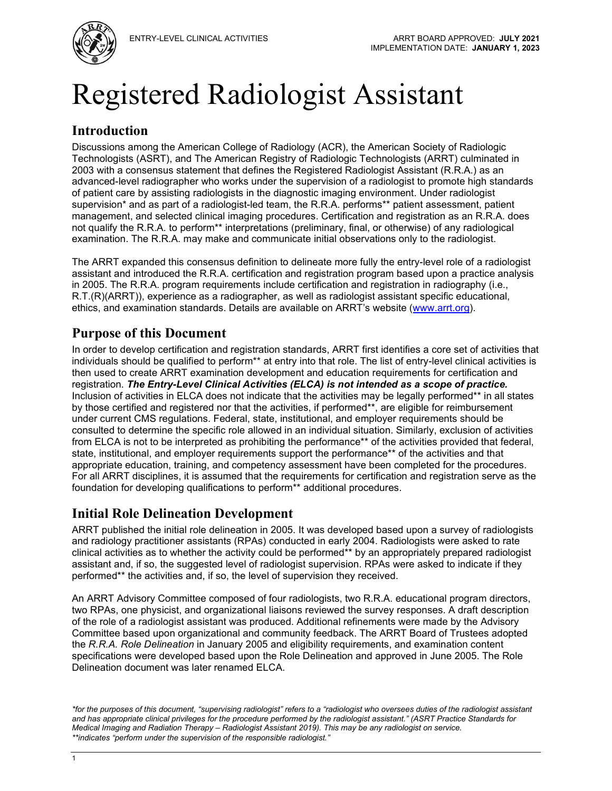

# Registered Radiologist Assistant

## **Introduction**

Discussions among the American College of Radiology (ACR), the American Society of Radiologic Technologists (ASRT), and The American Registry of Radiologic Technologists (ARRT) culminated in 2003 with a consensus statement that defines the Registered Radiologist Assistant (R.R.A.) as an advanced-level radiographer who works under the supervision of a radiologist to promote high standards of patient care by assisting radiologists in the diagnostic imaging environment. Under radiologist supervision\* and as part of a radiologist-led team, the R.R.A. performs\*\* patient assessment, patient management, and selected clinical imaging procedures. Certification and registration as an R.R.A. does not qualify the R.R.A. to perform\*\* interpretations (preliminary, final, or otherwise) of any radiological examination. The R.R.A. may make and communicate initial observations only to the radiologist.

The ARRT expanded this consensus definition to delineate more fully the entry-level role of a radiologist assistant and introduced the R.R.A. certification and registration program based upon a practice analysis in 2005. The R.R.A. program requirements include certification and registration in radiography (i.e., R.T.(R)(ARRT)), experience as a radiographer, as well as radiologist assistant specific educational, ethics, and examination standards. Details are available on ARRT's website [\(www.arrt.org\)](http://www.arrt.org/).

### **Purpose of this Document**

In order to develop certification and registration standards, ARRT first identifies a core set of activities that individuals should be qualified to perform\*\* at entry into that role. The list of entry-level clinical activities is then used to create ARRT examination development and education requirements for certification and registration. *The Entry-Level Clinical Activities (ELCA) is not intended as a scope of practice.* Inclusion of activities in ELCA does not indicate that the activities may be legally performed\*\* in all states by those certified and registered nor that the activities, if performed\*\*, are eligible for reimbursement under current CMS regulations. Federal, state, institutional, and employer requirements should be consulted to determine the specific role allowed in an individual situation. Similarly, exclusion of activities from ELCA is not to be interpreted as prohibiting the performance\*\* of the activities provided that federal, state, institutional, and employer requirements support the performance\*\* of the activities and that appropriate education, training, and competency assessment have been completed for the procedures. For all ARRT disciplines, it is assumed that the requirements for certification and registration serve as the foundation for developing qualifications to perform\*\* additional procedures.

# **Initial Role Delineation Development**

ARRT published the initial role delineation in 2005. It was developed based upon a survey of radiologists and radiology practitioner assistants (RPAs) conducted in early 2004. Radiologists were asked to rate clinical activities as to whether the activity could be performed\*\* by an appropriately prepared radiologist assistant and, if so, the suggested level of radiologist supervision. RPAs were asked to indicate if they performed\*\* the activities and, if so, the level of supervision they received.

An ARRT Advisory Committee composed of four radiologists, two R.R.A. educational program directors, two RPAs, one physicist, and organizational liaisons reviewed the survey responses. A draft description of the role of a radiologist assistant was produced. Additional refinements were made by the Advisory Committee based upon organizational and community feedback. The ARRT Board of Trustees adopted the *R.R.A. Role Delineation* in January 2005 and eligibility requirements, and examination content specifications were developed based upon the Role Delineation and approved in June 2005. The Role Delineation document was later renamed ELCA.

*\*for the purposes of this document, "supervising radiologist" refers to a "radiologist who oversees duties of the radiologist assistant and has appropriate clinical privileges for the procedure performed by the radiologist assistant." (ASRT Practice Standards for Medical Imaging and Radiation Therapy – Radiologist Assistant 2019). This may be any radiologist on service. \*\*indicates "perform under the supervision of the responsible radiologist."*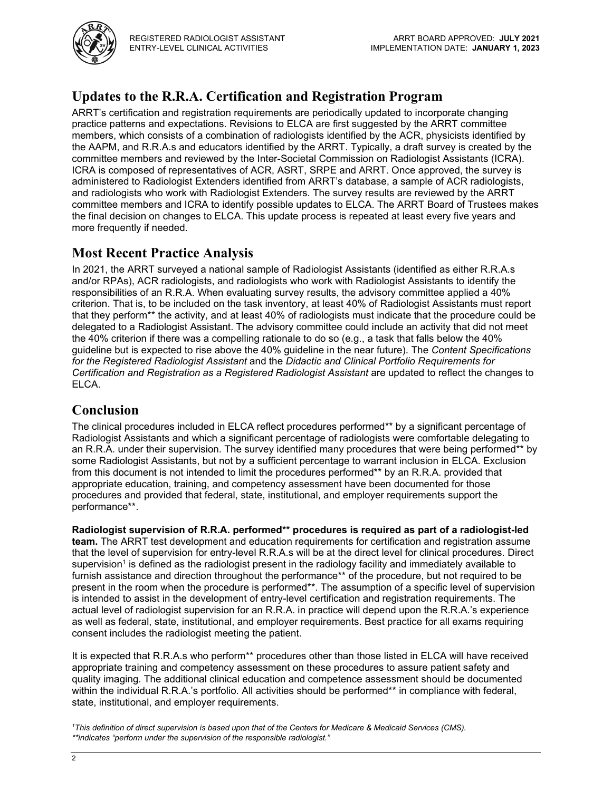

# **Updates to the R.R.A. Certification and Registration Program**

ARRT's certification and registration requirements are periodically updated to incorporate changing practice patterns and expectations. Revisions to ELCA are first suggested by the ARRT committee members, which consists of a combination of radiologists identified by the ACR, physicists identified by the AAPM, and R.R.A.s and educators identified by the ARRT. Typically, a draft survey is created by the committee members and reviewed by the Inter-Societal Commission on Radiologist Assistants (ICRA). ICRA is composed of representatives of ACR, ASRT, SRPE and ARRT. Once approved, the survey is administered to Radiologist Extenders identified from ARRT's database, a sample of ACR radiologists, and radiologists who work with Radiologist Extenders. The survey results are reviewed by the ARRT committee members and ICRA to identify possible updates to ELCA. The ARRT Board of Trustees makes the final decision on changes to ELCA. This update process is repeated at least every five years and more frequently if needed.

# **Most Recent Practice Analysis**

In 2021, the ARRT surveyed a national sample of Radiologist Assistants (identified as either R.R.A.s and/or RPAs), ACR radiologists, and radiologists who work with Radiologist Assistants to identify the responsibilities of an R.R.A. When evaluating survey results, the advisory committee applied a 40% criterion. That is, to be included on the task inventory, at least 40% of Radiologist Assistants must report that they perform\*\* the activity, and at least 40% of radiologists must indicate that the procedure could be delegated to a Radiologist Assistant. The advisory committee could include an activity that did not meet the 40% criterion if there was a compelling rationale to do so (e.g., a task that falls below the 40% guideline but is expected to rise above the 40% guideline in the near future). The *Content Specifications for the Registered Radiologist Assistant* and the *Didactic and Clinical Portfolio Requirements for Certification and Registration as a Registered Radiologist Assistant* are updated to reflect the changes to ELCA.

# **Conclusion**

The clinical procedures included in ELCA reflect procedures performed\*\* by a significant percentage of Radiologist Assistants and which a significant percentage of radiologists were comfortable delegating to an R.R.A. under their supervision. The survey identified many procedures that were being performed\*\* by some Radiologist Assistants, but not by a sufficient percentage to warrant inclusion in ELCA. Exclusion from this document is not intended to limit the procedures performed\*\* by an R.R.A. provided that appropriate education, training, and competency assessment have been documented for those procedures and provided that federal, state, institutional, and employer requirements support the performance\*\*.

**Radiologist supervision of R.R.A. performed\*\* procedures is required as part of a radiologist-led team.** The ARRT test development and education requirements for certification and registration assume that the level of supervision for entry-level R.R.A.s will be at the direct level for clinical procedures. Direct supervision<sup>1</sup> is defined as the radiologist present in the radiology facility and immediately available to furnish assistance and direction throughout the performance\*\* of the procedure, but not required to be present in the room when the procedure is performed\*\*. The assumption of a specific level of supervision is intended to assist in the development of entry-level certification and registration requirements. The actual level of radiologist supervision for an R.R.A. in practice will depend upon the R.R.A.'s experience as well as federal, state, institutional, and employer requirements. Best practice for all exams requiring consent includes the radiologist meeting the patient.

It is expected that R.R.A.s who perform\*\* procedures other than those listed in ELCA will have received appropriate training and competency assessment on these procedures to assure patient safety and quality imaging. The additional clinical education and competence assessment should be documented within the individual R.R.A.'s portfolio. All activities should be performed\*\* in compliance with federal, state, institutional, and employer requirements.

*<sup>1</sup> This definition of direct supervision is based upon that of the Centers for Medicare & Medicaid Services (CMS). \*\*indicates "perform under the supervision of the responsible radiologist."*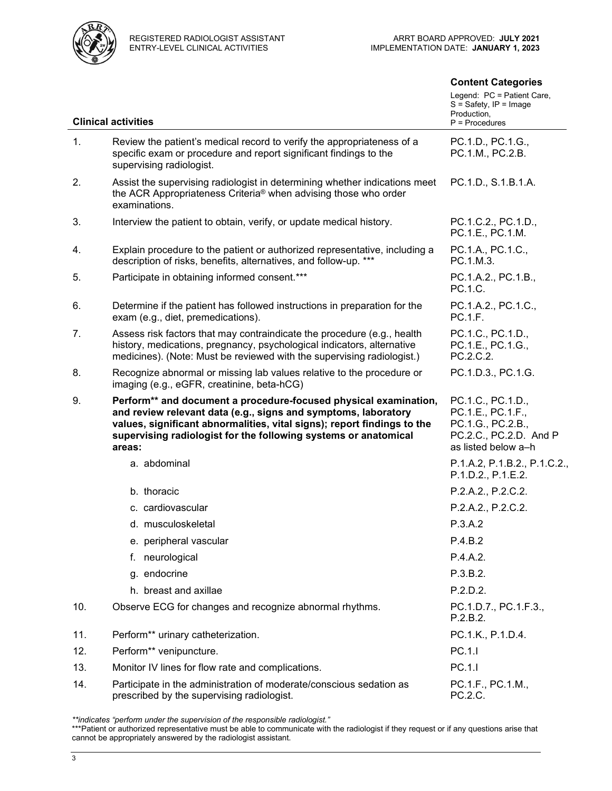

|     | <b>Clinical activities</b>                                                                                                                                                                                                                                                                 | <b>Content Categories</b><br>Legend: PC = Patient Care,<br>$S =$ Safety, IP = Image<br>Production,           |
|-----|--------------------------------------------------------------------------------------------------------------------------------------------------------------------------------------------------------------------------------------------------------------------------------------------|--------------------------------------------------------------------------------------------------------------|
|     |                                                                                                                                                                                                                                                                                            | $P =$ Procedures                                                                                             |
| 1.  | Review the patient's medical record to verify the appropriateness of a<br>specific exam or procedure and report significant findings to the<br>supervising radiologist.                                                                                                                    | PC.1.D., PC.1.G.,<br>PC.1.M., PC.2.B.                                                                        |
| 2.  | Assist the supervising radiologist in determining whether indications meet<br>the ACR Appropriateness Criteria <sup>®</sup> when advising those who order<br>examinations.                                                                                                                 | PC.1.D., S.1.B.1.A.                                                                                          |
| 3.  | Interview the patient to obtain, verify, or update medical history.                                                                                                                                                                                                                        | PC.1.C.2., PC.1.D.,<br>PC.1.E., PC.1.M.                                                                      |
| 4.  | Explain procedure to the patient or authorized representative, including a<br>description of risks, benefits, alternatives, and follow-up. ***                                                                                                                                             | PC.1.A., PC.1.C.,<br>PC.1.M.3.                                                                               |
| 5.  | Participate in obtaining informed consent.***                                                                                                                                                                                                                                              | PC.1.A.2., PC.1.B.,<br>PC.1.C.                                                                               |
| 6.  | Determine if the patient has followed instructions in preparation for the<br>exam (e.g., diet, premedications).                                                                                                                                                                            | PC.1.A.2., PC.1.C.,<br>PC.1.F.                                                                               |
| 7.  | Assess risk factors that may contraindicate the procedure (e.g., health<br>history, medications, pregnancy, psychological indicators, alternative<br>medicines). (Note: Must be reviewed with the supervising radiologist.)                                                                | PC.1.C., PC.1.D.,<br>PC.1.E., PC.1.G.,<br>PC.2.C.2.                                                          |
| 8.  | Recognize abnormal or missing lab values relative to the procedure or<br>imaging (e.g., eGFR, creatinine, beta-hCG)                                                                                                                                                                        | PC.1.D.3., PC.1.G.                                                                                           |
| 9.  | Perform** and document a procedure-focused physical examination,<br>and review relevant data (e.g., signs and symptoms, laboratory<br>values, significant abnormalities, vital signs); report findings to the<br>supervising radiologist for the following systems or anatomical<br>areas: | PC.1.C., PC.1.D.,<br>PC.1.E., PC.1.F.,<br>PC.1.G., PC.2.B.,<br>PC.2.C., PC.2.D. And P<br>as listed below a-h |
|     | a. abdominal                                                                                                                                                                                                                                                                               | P.1.A.2, P.1.B.2., P.1.C.2.,<br>P.1.D.2., P.1.E.2.                                                           |
|     | b. thoracic                                                                                                                                                                                                                                                                                | P.2.A.2., P.2.C.2.                                                                                           |
|     | c. cardiovascular                                                                                                                                                                                                                                                                          | P.2.A.2., P.2.C.2.                                                                                           |
|     | d. musculoskeletal                                                                                                                                                                                                                                                                         | P.3.A.2                                                                                                      |
|     | e. peripheral vascular                                                                                                                                                                                                                                                                     | P.4.B.2                                                                                                      |
|     | f. neurological                                                                                                                                                                                                                                                                            | P.4.A.2.                                                                                                     |
|     | g. endocrine                                                                                                                                                                                                                                                                               | P.3.B.2.                                                                                                     |
|     | h. breast and axillae                                                                                                                                                                                                                                                                      | P.2.D.2.                                                                                                     |
| 10. | Observe ECG for changes and recognize abnormal rhythms.                                                                                                                                                                                                                                    | PC.1.D.7., PC.1.F.3.,<br>P.2.B.2.                                                                            |
| 11. | Perform** urinary catheterization.                                                                                                                                                                                                                                                         | PC.1.K., P.1.D.4.                                                                                            |
| 12. | Perform** venipuncture.                                                                                                                                                                                                                                                                    | <b>PC.1.I</b>                                                                                                |
| 13. | Monitor IV lines for flow rate and complications.                                                                                                                                                                                                                                          | <b>PC.1.I</b>                                                                                                |
| 14. | Participate in the administration of moderate/conscious sedation as<br>prescribed by the supervising radiologist.                                                                                                                                                                          | PC.1.F., PC.1.M.,<br>PC.2.C.                                                                                 |

*<sup>\*\*</sup>indicates "perform under the supervision of the responsible radiologist."*

<sup>\*\*\*</sup>Patient or authorized representative must be able to communicate with the radiologist if they request or if any questions arise that cannot be appropriately answered by the radiologist assistant.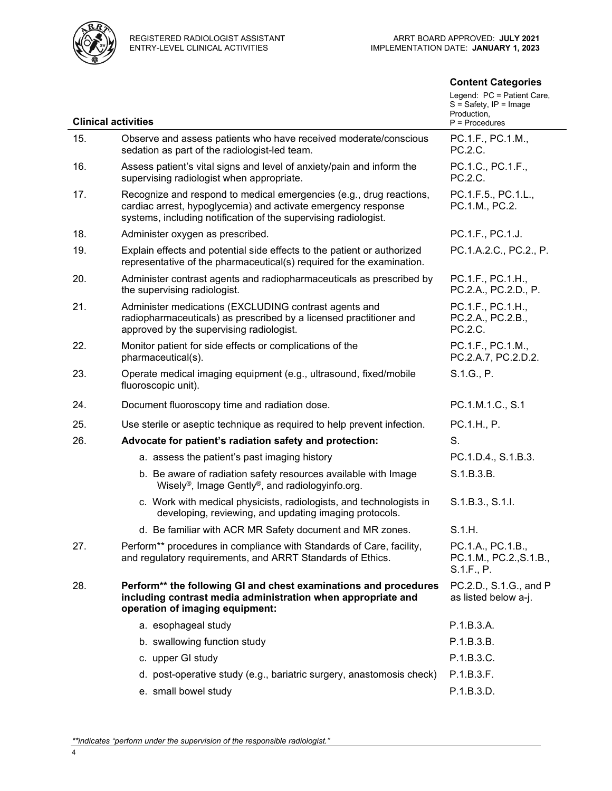

#### **Clinical activities Content Categories** Legend: PC = Patient Care,  $S =$  Safety, IP = Image Production, P = Procedures 15. Observe and assess patients who have received moderate/conscious sedation as part of the radiologist-led team. PC.1.F., PC.1.M., PC.2.C. 16. Assess patient's vital signs and level of anxiety/pain and inform the supervising radiologist when appropriate. PC.1.C., PC.1.F., PC.2.C. 17. Recognize and respond to medical emergencies (e.g., drug reactions, cardiac arrest, hypoglycemia) and activate emergency response systems, including notification of the supervising radiologist. PC.1.F.5., PC.1.L., PC.1.M., PC.2. 18. Administer oxygen as prescribed. And the example of the example of the example of the example of the example of the example of the example of the example of the example of the example of the example of the example of t 19. Explain effects and potential side effects to the patient or authorized representative of the pharmaceutical(s) required for the examination. PC.1.A.2.C., PC.2., P. 20. Administer contrast agents and radiopharmaceuticals as prescribed by the supervising radiologist. PC.1.F., PC.1.H., PC.2.A., PC.2.D., P. 21. Administer medications (EXCLUDING contrast agents and radiopharmaceuticals) as prescribed by a licensed practitioner and approved by the supervising radiologist. PC.1.F., PC.1.H., PC.2.A., PC.2.B., PC.2.C. 22. Monitor patient for side effects or complications of the pharmaceutical(s). PC.1.F., PC.1.M., PC.2.A.7, PC.2.D.2. 23. Operate medical imaging equipment (e.g., ultrasound, fixed/mobile fluoroscopic unit). S.1.G., P. 24. Document fluoroscopy time and radiation dose. PC.1.M.1.C., S.1 25. Use sterile or aseptic technique as required to help prevent infection. PC.1.H., P. 26. **Advocate for patient's radiation safety and protection:** S. a. assess the patient's past imaging history PC.1.D.4., S.1.B.3. b. Be aware of radiation safety resources available with Image Wisely®, Image Gently®, and radiologyinfo.org. S.1.B.3.B. c. Work with medical physicists, radiologists, and technologists in developing, reviewing, and updating imaging protocols. S.1.B.3., S.1.I. d. Be familiar with ACR MR Safety document and MR zones. S.1.H. 27. Perform\*\* procedures in compliance with Standards of Care, facility, and regulatory requirements, and ARRT Standards of Ethics. PC.1.A., PC.1.B., PC.1.M., PC.2.,S.1.B., S.1.F., P. 28. **Perform\*\* the following GI and chest examinations and procedures including contrast media administration when appropriate and operation of imaging equipment:** PC.2.D., S.1.G., and P as listed below a-j. a. esophageal study P.1.B.3.A. b. swallowing function study example of the p. 1.B.3.B. c. upper GI study **P.1.B.3.C.** d. post-operative study (e.g., bariatric surgery, anastomosis check) P.1.B.3.F. e. small bowel study example of the study of the P.1.B.3.D.

*\*\*indicates "perform under the supervision of the responsible radiologist."*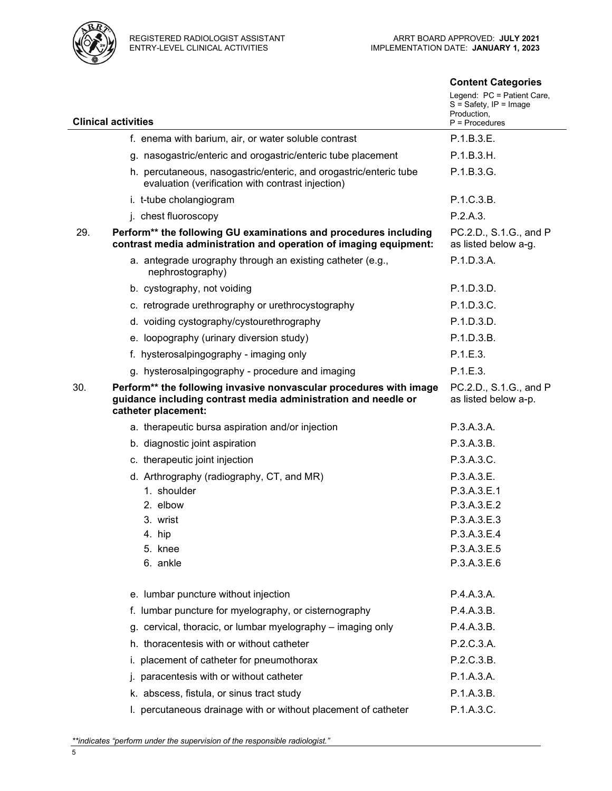

| <b>Clinical activities</b> |                                                                                                                                                             | <b>Content Categories</b><br>Legend: PC = Patient Care,<br>$S =$ Safety, IP = Image<br>Production,<br>$P =$ Procedures |
|----------------------------|-------------------------------------------------------------------------------------------------------------------------------------------------------------|------------------------------------------------------------------------------------------------------------------------|
|                            | f. enema with barium, air, or water soluble contrast                                                                                                        | P.1.B.3.E.                                                                                                             |
|                            | g. nasogastric/enteric and orogastric/enteric tube placement                                                                                                | P.1.B.3.H.                                                                                                             |
|                            | h. percutaneous, nasogastric/enteric, and orogastric/enteric tube<br>evaluation (verification with contrast injection)                                      | P.1.B.3.G.                                                                                                             |
|                            | i. t-tube cholangiogram                                                                                                                                     | P.1.C.3.B.                                                                                                             |
|                            | j. chest fluoroscopy                                                                                                                                        | P.2.A.3.                                                                                                               |
| 29.                        | Perform** the following GU examinations and procedures including<br>contrast media administration and operation of imaging equipment:                       | PC.2.D., S.1.G., and P<br>as listed below a-g.                                                                         |
|                            | a. antegrade urography through an existing catheter (e.g.,<br>nephrostography)                                                                              | P.1.D.3.A.                                                                                                             |
|                            | b. cystography, not voiding                                                                                                                                 | P.1.D.3.D.                                                                                                             |
|                            | c. retrograde urethrography or urethrocystography                                                                                                           | P.1.D.3.C.                                                                                                             |
|                            | d. voiding cystography/cystourethrography                                                                                                                   | P.1.D.3.D.                                                                                                             |
|                            | e. loopography (urinary diversion study)                                                                                                                    | P.1.D.3.B.                                                                                                             |
|                            | f. hysterosalpingography - imaging only                                                                                                                     | P.1.E.3.                                                                                                               |
|                            | g. hysterosalpingography - procedure and imaging                                                                                                            | P.1.E.3.                                                                                                               |
| 30.                        | Perform** the following invasive nonvascular procedures with image<br>guidance including contrast media administration and needle or<br>catheter placement: | PC.2.D., S.1.G., and P<br>as listed below a-p.                                                                         |
|                            | a. therapeutic bursa aspiration and/or injection                                                                                                            | P.3.A.3.A.                                                                                                             |
|                            | b. diagnostic joint aspiration                                                                                                                              | P.3.A.3.B.                                                                                                             |
|                            | c. therapeutic joint injection                                                                                                                              | P.3.A.3.C.                                                                                                             |
|                            | d. Arthrography (radiography, CT, and MR)                                                                                                                   | P.3.A.3.E.                                                                                                             |
|                            | 1. shoulder                                                                                                                                                 | P.3.A.3.E.1                                                                                                            |
|                            | 2. elbow                                                                                                                                                    | P.3.A.3.E.2                                                                                                            |
|                            | 3. wrist                                                                                                                                                    | P.3.A.3.E.3                                                                                                            |
|                            | 4. hip                                                                                                                                                      | P.3.A.3.E.4                                                                                                            |
|                            | 5. knee                                                                                                                                                     | P.3.A.3.E.5                                                                                                            |
|                            | 6. ankle                                                                                                                                                    | P.3.A.3.E.6                                                                                                            |
|                            | e. lumbar puncture without injection                                                                                                                        | P.4.A.3.A.                                                                                                             |
|                            | f. lumbar puncture for myelography, or cisternography                                                                                                       | P.4.A.3.B.                                                                                                             |
|                            | g. cervical, thoracic, or lumbar myelography – imaging only                                                                                                 | P.4.A.3.B.                                                                                                             |
|                            | h. thoracentesis with or without catheter                                                                                                                   | P.2.C.3.A.                                                                                                             |
|                            | i. placement of catheter for pneumothorax                                                                                                                   | P.2.C.3.B.                                                                                                             |
|                            | j. paracentesis with or without catheter                                                                                                                    | P.1.A.3.A.                                                                                                             |
|                            | k. abscess, fistula, or sinus tract study                                                                                                                   | P.1.A.3.B.                                                                                                             |
|                            | I. percutaneous drainage with or without placement of catheter                                                                                              | P.1.A.3.C.                                                                                                             |

*\*\*indicates "perform under the supervision of the responsible radiologist."*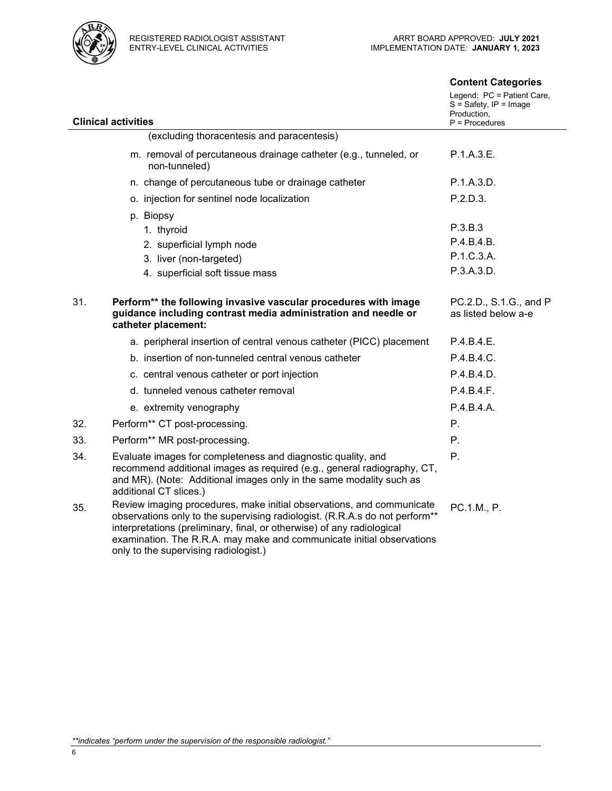

|     |                                                                                                                                                                                                                                                                                                                                                  | <b>Content Categories</b>                                                                 |
|-----|--------------------------------------------------------------------------------------------------------------------------------------------------------------------------------------------------------------------------------------------------------------------------------------------------------------------------------------------------|-------------------------------------------------------------------------------------------|
|     | <b>Clinical activities</b>                                                                                                                                                                                                                                                                                                                       | Legend: PC = Patient Care,<br>$S =$ Safety, IP = Image<br>Production,<br>$P =$ Procedures |
|     | (excluding thoracentesis and paracentesis)                                                                                                                                                                                                                                                                                                       |                                                                                           |
|     | m. removal of percutaneous drainage catheter (e.g., tunneled, or<br>non-tunneled)                                                                                                                                                                                                                                                                | P.1.A.3.E.                                                                                |
|     | n. change of percutaneous tube or drainage catheter                                                                                                                                                                                                                                                                                              | P.1.A.3.D.                                                                                |
|     | o. injection for sentinel node localization                                                                                                                                                                                                                                                                                                      | P.2.D.3.                                                                                  |
|     | p. Biopsy                                                                                                                                                                                                                                                                                                                                        |                                                                                           |
|     | 1. thyroid                                                                                                                                                                                                                                                                                                                                       | P.3.B.3                                                                                   |
|     | 2. superficial lymph node                                                                                                                                                                                                                                                                                                                        | P.4.B.4.B.                                                                                |
|     | 3. liver (non-targeted)                                                                                                                                                                                                                                                                                                                          | P.1.C.3.A.                                                                                |
|     | 4. superficial soft tissue mass                                                                                                                                                                                                                                                                                                                  | P.3.A.3.D.                                                                                |
| 31. | Perform** the following invasive vascular procedures with image<br>guidance including contrast media administration and needle or<br>catheter placement:                                                                                                                                                                                         | PC.2.D., S.1.G., and P<br>as listed below a-e                                             |
|     | a. peripheral insertion of central venous catheter (PICC) placement                                                                                                                                                                                                                                                                              | P.4.B.4.E.                                                                                |
|     | b. insertion of non-tunneled central venous catheter                                                                                                                                                                                                                                                                                             | P.4.B.4.C.                                                                                |
|     | c. central venous catheter or port injection                                                                                                                                                                                                                                                                                                     | P.4.B.4.D.                                                                                |
|     | d. tunneled venous catheter removal                                                                                                                                                                                                                                                                                                              | P.4.B.4.F.                                                                                |
|     | e. extremity venography                                                                                                                                                                                                                                                                                                                          | P.4.B.4.A.                                                                                |
| 32. | Perform** CT post-processing.                                                                                                                                                                                                                                                                                                                    | Ρ.                                                                                        |
| 33. | Perform** MR post-processing.                                                                                                                                                                                                                                                                                                                    | P.                                                                                        |
| 34. | Evaluate images for completeness and diagnostic quality, and<br>recommend additional images as required (e.g., general radiography, CT,<br>and MR). (Note: Additional images only in the same modality such as<br>additional CT slices.)                                                                                                         | Р.                                                                                        |
| 35. | Review imaging procedures, make initial observations, and communicate<br>observations only to the supervising radiologist. (R.R.A.s do not perform**<br>interpretations (preliminary, final, or otherwise) of any radiological<br>examination. The R.R.A. may make and communicate initial observations<br>only to the supervising radiologist.) | PC.1.M., P.                                                                               |